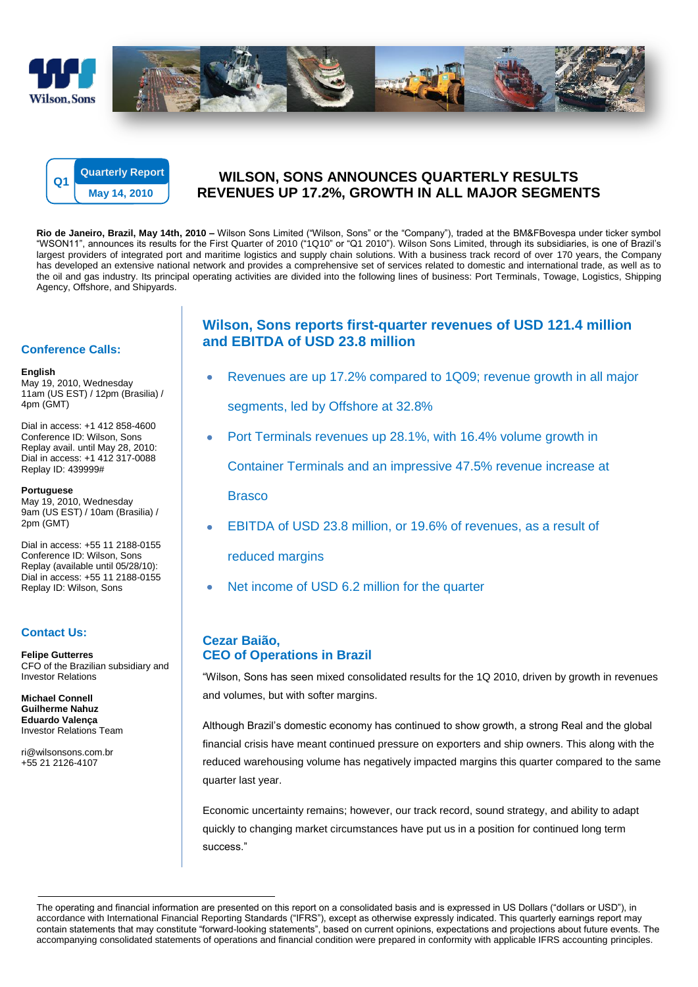



# **WILSON, SONS ANNOUNCES QUARTERLY RESULTS REVENUES UP 17.2%, GROWTH IN ALL MAJOR SEGMENTS**

**Rio de Janeiro, Brazil, May 14th, 2010 –** Wilson Sons Limited ("Wilson, Sons" or the "Company"), traded at the BM&FBovespa under ticker symbol "WSON11", announces its results for the First Quarter of 2010 ("1Q10" or "Q1 2010"). Wilson Sons Limited, through its subsidiaries, is one of Brazil"s largest providers of integrated port and maritime logistics and supply chain solutions. With a business track record of over 170 years, the Company has developed an extensive national network and provides a comprehensive set of services related to domestic and international trade, as well as to the oil and gas industry. Its principal operating activities are divided into the following lines of business: Port Terminals, Towage, Logistics, Shipping Agency, Offshore, and Shipyards.

### **Conference Calls:**

#### **English**

May 19, 2010, Wednesday 11am (US EST) / 12pm (Brasilia) / 4pm (GMT)

Dial in access: +1 412 858-4600 Conference ID: Wilson, Sons Replay avail. until May 28, 2010: Dial in access: +1 412 317-0088 Replay ID: 439999#

#### **Portuguese**

May 19, 2010, Wednesday 9am (US EST) / 10am (Brasilia) / 2pm (GMT)

Dial in access: +55 11 2188-0155 Conference ID: Wilson, Sons Replay (available until 05/28/10): Dial in access: +55 11 2188-0155 Replay ID: Wilson, Sons

### **Contact Us:**

**Felipe Gutterres** CFO of the Brazilian subsidiary and Investor Relations

**Michael Connell Guilherme Nahuz Eduardo Valença** Investor Relations Team

ri@wilsonsons.com.br +55 21 2126-4107

# **Wilson, Sons reports first-quarter revenues of USD 121.4 million and EBITDA of USD 23.8 million**

- Revenues are up 17.2% compared to 1Q09; revenue growth in all major segments, led by Offshore at 32.8%
- Port Terminals revenues up 28.1%, with 16.4% volume growth in

Container Terminals and an impressive 47.5% revenue increase at

Brasco

EBITDA of USD 23.8 million, or 19.6% of revenues, as a result of

reduced margins

Net income of USD 6.2 million for the quarter

# **Cezar Baião, CEO of Operations in Brazil**

"Wilson, Sons has seen mixed consolidated results for the 1Q 2010, driven by growth in revenues and volumes, but with softer margins.

Although Brazil"s domestic economy has continued to show growth, a strong Real and the global financial crisis have meant continued pressure on exporters and ship owners. This along with the reduced warehousing volume has negatively impacted margins this quarter compared to the same quarter last year.

Economic uncertainty remains; however, our track record, sound strategy, and ability to adapt quickly to changing market circumstances have put us in a position for continued long term success."

The operating and financial information are presented on this report on a consolidated basis and is expressed in US Dollars ("dollars or USD"), in accordance with International Financial Reporting Standards ("IFRS"), except as otherwise expressly indicated. This quarterly earnings report may contain statements that may constitute "forward-looking statements", based on current opinions, expectations and projections about future events. The accompanying consolidated statements of operations and financial condition were prepared in conformity with applicable IFRS accounting principles.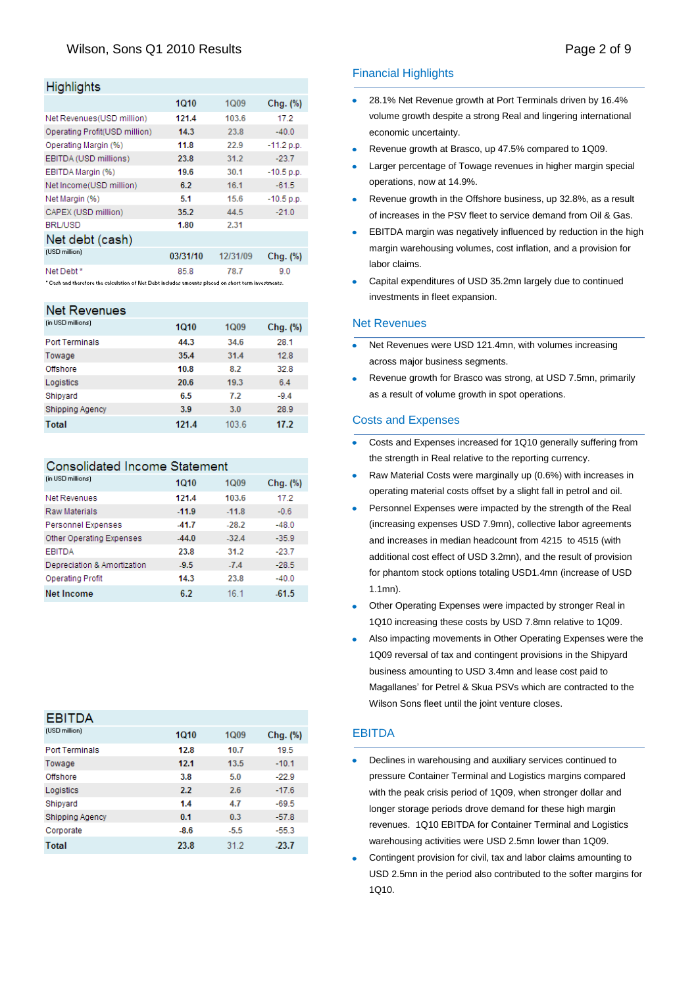# Wilson, Sons Q1 2010 Results **Page 2 of 9** and 2 of 9

### **Highlights**

|                                                                                                      | 1Q10     | 1Q09     | Chg. (%)     |  |  |
|------------------------------------------------------------------------------------------------------|----------|----------|--------------|--|--|
| Net Revenues (USD million)                                                                           | 121.4    | 103.6    | 17.2         |  |  |
| Operating Profit(USD million)                                                                        | 14.3     | 23.8     | $-40.0$      |  |  |
| Operating Margin (%)                                                                                 | 11.8     | 22.9     | $-11.2 p.p.$ |  |  |
| EBITDA (USD millions)                                                                                | 23.8     | 31.2     | $-23.7$      |  |  |
| EBITDA Margin (%)                                                                                    | 19.6     | 30.1     | $-10.5$ p.p. |  |  |
| Net Income(USD million)                                                                              | 6.2      | 16.1     | $-61.5$      |  |  |
| Net Margin (%)                                                                                       | 5.1      | 15.6     | $-10.5$ p.p. |  |  |
| CAPEX (USD million)                                                                                  | 35.2     | 44.5     | $-21.0$      |  |  |
| <b>BRL/USD</b>                                                                                       | 1.80     | 2.31     |              |  |  |
| Net debt (cash)                                                                                      |          |          |              |  |  |
| (USD million)                                                                                        | 03/31/10 | 12/31/09 | Chg. (%)     |  |  |
| Net Debt*                                                                                            | 85.8     | 78.7     | 9.0          |  |  |
| " Cash and therefore the calculation of Net Debt includes amounts placed on short term investments." |          |          |              |  |  |

#### Net Revenues

| (in USD millions)      | <b>1Q10</b> | 1Q09 | Chg. (%) |
|------------------------|-------------|------|----------|
| <b>Port Terminals</b>  | 44.3        | 34.6 | 28.1     |
| Towage                 | 35.4        | 31.4 | 12.8     |
| Offshore               | 10.8        | 8.2  | 32.8     |
| Logistics              | 20.6        | 19.3 | 6.4      |
| Shipyard               | 6.5         | 7.2  | $-9.4$   |
| <b>Shipping Agency</b> | 3.9         | 3.0  | 28.9     |
| <b>Total</b>           | 121.4       | 1036 | 17.2     |

#### Consolidated Income Statement

| (in USD millions)           | 1010    | <b>1Q09</b>     | $Chg.$ $(\%)$ |
|-----------------------------|---------|-----------------|---------------|
| <b>Net Revenues</b>         | 121.4   | 103.6           | 17.2          |
| Raw Materials               | $-11.9$ | $-11.8$         | $-0.6$        |
| <b>Personnel Expenses</b>   | $-41.7$ | $-28.2$         | $-48.0$       |
| Other Operating Expenses    | $-44.0$ | $-32.4$         | $-35.9$       |
| <b>EBITDA</b>               | 23.8    | 31.2            | $-23.7$       |
| Depreciation & Amortization | $-9.5$  | $-7.4$          | $-28.5$       |
| Operating Profit            | 14.3    | 23.8            | $-40.0$       |
| Net Income                  | 6.2     | 16 <sub>1</sub> | -61.5         |

| <b>EBITDA</b>          |             |        |          |
|------------------------|-------------|--------|----------|
| (USD million)          | <b>1Q10</b> | 1Q09   | Chg. (%) |
| <b>Port Terminals</b>  | 12.8        | 10.7   | 19.5     |
| Towage                 | 12.1        | 13.5   | $-10.1$  |
| Offshore               | 3.8         | 5.0    | $-22.9$  |
| Logistics              | 2.2         | 2.6    | $-17.6$  |
| Shipyard               | 1.4         | 4.7    | $-69.5$  |
| <b>Shipping Agency</b> | 0.1         | 0.3    | $-57.8$  |
| Corporate              | $-8.6$      | $-5.5$ | $-55.3$  |
| <b>Total</b>           | 23.8        | 312    | $-23.7$  |

## Financial Highlights

- 28.1% Net Revenue growth at Port Terminals driven by 16.4% volume growth despite a strong Real and lingering international economic uncertainty.
- Revenue growth at Brasco, up 47.5% compared to 1Q09.
- Larger percentage of Towage revenues in higher margin special operations, now at 14.9%.
- Revenue growth in the Offshore business, up 32.8%, as a result of increases in the PSV fleet to service demand from Oil & Gas.
- EBITDA margin was negatively influenced by reduction in the high margin warehousing volumes, cost inflation, and a provision for labor claims.
- Capital expenditures of USD 35.2mn largely due to continued investments in fleet expansion.

#### Net Revenues

- Net Revenues were USD 121.4mn, with volumes increasing across major business segments.
- Revenue growth for Brasco was strong, at USD 7.5mn, primarily as a result of volume growth in spot operations.

#### Costs and Expenses

- Costs and Expenses increased for 1Q10 generally suffering from the strength in Real relative to the reporting currency.
- Raw Material Costs were marginally up (0.6%) with increases in operating material costs offset by a slight fall in petrol and oil.
- Personnel Expenses were impacted by the strength of the Real (increasing expenses USD 7.9mn), collective labor agreements and increases in median headcount from 4215 to 4515 (with additional cost effect of USD 3.2mn), and the result of provision for phantom stock options totaling USD1.4mn (increase of USD 1.1mn).
- Other Operating Expenses were impacted by stronger Real in 1Q10 increasing these costs by USD 7.8mn relative to 1Q09.
- Also impacting movements in Other Operating Expenses were the 1Q09 reversal of tax and contingent provisions in the Shipyard business amounting to USD 3.4mn and lease cost paid to Magallanes" for Petrel & Skua PSVs which are contracted to the Wilson Sons fleet until the joint venture closes.

#### EBITDA

- Declines in warehousing and auxiliary services continued to pressure Container Terminal and Logistics margins compared with the peak crisis period of 1Q09, when stronger dollar and longer storage periods drove demand for these high margin revenues. 1Q10 EBITDA for Container Terminal and Logistics warehousing activities were USD 2.5mn lower than 1Q09.
- Contingent provision for civil, tax and labor claims amounting to USD 2.5mn in the period also contributed to the softer margins for 1Q10.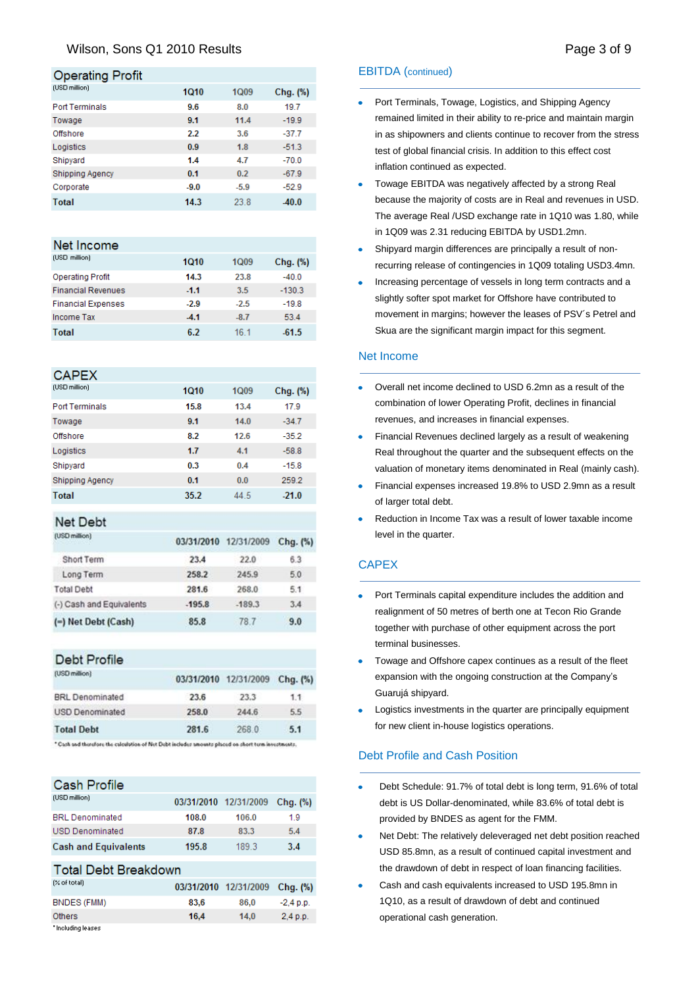## Wilson, Sons Q1 2010 Results **Page 3 of 9** and 2010 Results **Page 3 of 9**

#### **Operating Profit**

| (USD million)          | <b>1Q10</b> | 1Q09   | Chg. (%) |
|------------------------|-------------|--------|----------|
| <b>Port Terminals</b>  | 9.6         | 8.0    | 19.7     |
| Towage                 | 9.1         | 11.4   | $-19.9$  |
| Offshore               | 2.2         | 3.6    | $-37.7$  |
| Logistics              | 0.9         | 1.8    | $-51.3$  |
| Shipyard               | 1.4         | 4.7    | $-70.0$  |
| <b>Shipping Agency</b> | 0.1         | 0.2    | $-67.9$  |
| Corporate              | $-9.0$      | $-5.9$ | $-52.9$  |
| Total                  | 14.3        | 23.8   | $-40.0$  |

#### Net Income

| (USD million)             | <b>1Q10</b> | <b>1Q09</b>     | $Chq.$ $%$ |
|---------------------------|-------------|-----------------|------------|
| <b>Operating Profit</b>   | 14.3        | 23.8            | $-40.0$    |
| <b>Financial Revenues</b> | $-1.1$      | 3.5             | $-130.3$   |
| <b>Financial Expenses</b> | $-2.9$      | $-2.5$          | $-19.8$    |
| Income Tax                | $-4.1$      | $-8.7$          | 53.4       |
| <b>Total</b>              | 6.2         | 16 <sub>1</sub> | $-61.5$    |

### **CAPEX**

| (USD million)          | <b>1Q10</b> | 1Q09 | Chg. (%) |
|------------------------|-------------|------|----------|
| <b>Port Terminals</b>  | 15.8        | 13.4 | 17.9     |
| Towage                 | 9.1         | 14.0 | $-34.7$  |
| Offshore               | 8.2         | 12.6 | $-35.2$  |
| Logistics              | 1.7         | 4.1  | $-58.8$  |
| Shipyard               | 0.3         | 0.4  | $-15.8$  |
| <b>Shipping Agency</b> | 0.1         | 0.0  | 259.2    |
| <b>Total</b>           | 35.2        | 44.5 | $-21.0$  |

## **Net Debt**

| (USD million)            | 03/31/2010 | 12/31/2009 | $Chg.$ $(*)$ |
|--------------------------|------------|------------|--------------|
| Short Term               | 23.4       | 22.0       | 6.3          |
| Long Term                | 258.2      | 245.9      | 5.0          |
| <b>Total Debt</b>        | 281.6      | 268.0      | 5.1          |
| (-) Cash and Equivalents | $-195.8$   | $-189.3$   | 3.4          |
| (-) Net Debt (Cash)      | 85.8       | 78.7       | 9.0          |

#### Debt Profile

|       |       | $Chq.$ $(\%)$         |
|-------|-------|-----------------------|
| 23.6  | 23.3  | 1.1                   |
| 258.0 | 244.6 | 5.5                   |
| 281.6 | 268.0 | 5.1                   |
|       |       | 03/31/2010 12/31/2009 |

\* Cash and therefore the calculation of Net Debt includes amounts placed on chost term invest

### Cash Profile

| (USD million)               |       | 03/31/2010 12/31/2009 Cha. (%) |     |
|-----------------------------|-------|--------------------------------|-----|
| <b>BRL</b> Denominated      | 108.0 | 106.0                          | 19  |
| USD Denominated             | 87.8  | 83.3                           | 5.4 |
| <b>Cash and Equivalents</b> | 195.8 | 189.3                          | 3.4 |

## **Total Debt Breakdown**

| $[%$ of total)     |      | 03/31/2010 12/31/2009 Chg. (%) |             |
|--------------------|------|--------------------------------|-------------|
| BNDES (FMM)        | 83.6 | 86.0                           | $-2.4 p.p.$ |
| <b>Others</b>      | 16.4 | 14.0                           | 2.4 p.p.    |
| " Including leases |      |                                |             |

### EBITDA (continued)

- Port Terminals, Towage, Logistics, and Shipping Agency remained limited in their ability to re-price and maintain margin in as shipowners and clients continue to recover from the stress test of global financial crisis. In addition to this effect cost inflation continued as expected.
- Towage EBITDA was negatively affected by a strong Real because the majority of costs are in Real and revenues in USD. The average Real /USD exchange rate in 1Q10 was 1.80, while in 1Q09 was 2.31 reducing EBITDA by USD1.2mn.
- Shipyard margin differences are principally a result of nonrecurring release of contingencies in 1Q09 totaling USD3.4mn.
- Increasing percentage of vessels in long term contracts and a slightly softer spot market for Offshore have contributed to movement in margins; however the leases of PSV´s Petrel and Skua are the significant margin impact for this segment.

#### Net Income

- Overall net income declined to USD 6.2mn as a result of the  $\bullet$ combination of lower Operating Profit, declines in financial revenues, and increases in financial expenses.
- Financial Revenues declined largely as a result of weakening Real throughout the quarter and the subsequent effects on the valuation of monetary items denominated in Real (mainly cash).
- Financial expenses increased 19.8% to USD 2.9mn as a result of larger total debt.
- Reduction in Income Tax was a result of lower taxable income  $\bullet$ level in the quarter.

### **CAPEX**

- Port Terminals capital expenditure includes the addition and realignment of 50 metres of berth one at Tecon Rio Grande together with purchase of other equipment across the port terminal businesses.
- Towage and Offshore capex continues as a result of the fleet expansion with the ongoing construction at the Company"s Guarujá shipyard.
- Logistics investments in the quarter are principally equipment for new client in-house logistics operations.

#### Debt Profile and Cash Position

- Debt Schedule: 91.7% of total debt is long term, 91.6% of total debt is US Dollar-denominated, while 83.6% of total debt is provided by BNDES as agent for the FMM.
- $\bullet$ Net Debt: The relatively deleveraged net debt position reached USD 85.8mn, as a result of continued capital investment and the drawdown of debt in respect of loan financing facilities.
- Cash and cash equivalents increased to USD 195.8mn in 1Q10, as a result of drawdown of debt and continued operational cash generation.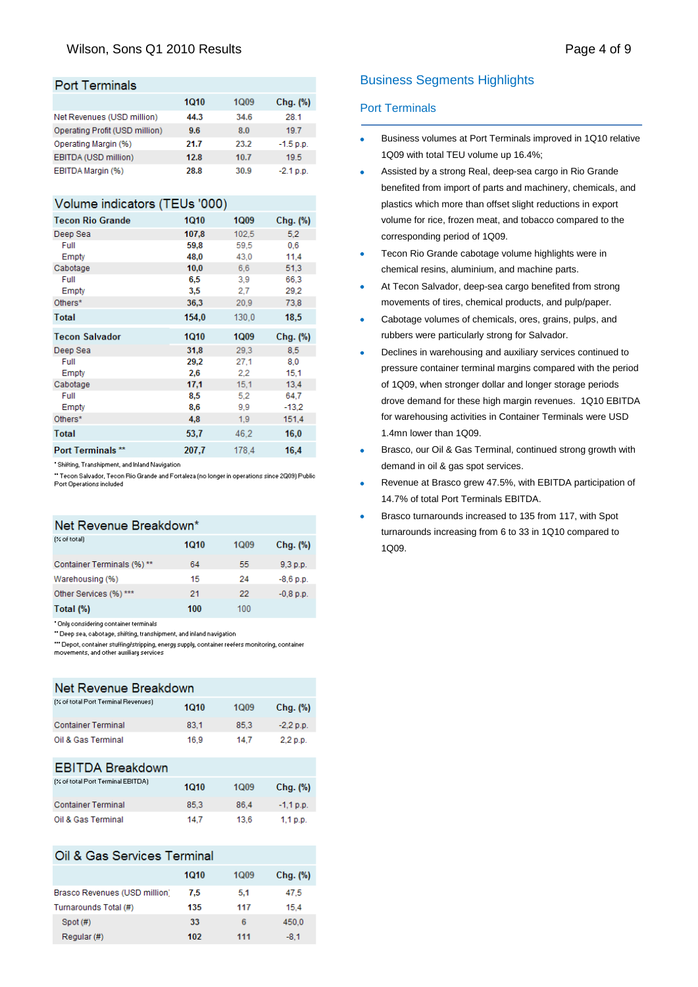### Wilson, Sons Q1 2010 Results **Page 4 of 9** and 2010 Results **Page 4 of 9**

## **Port Terminals**

|                                | 1010 | 1Q09 | Chg. (%)    |
|--------------------------------|------|------|-------------|
| Net Revenues (USD million)     | 44.3 | 34.6 | 28.1        |
| Operating Profit (USD million) | 9.6  | 8.0  | 197         |
| Operating Margin (%)           | 21.7 | 23.2 | $-1.5$ p.p. |
| EBITDA (USD million)           | 12.8 | 10.7 | 19.5        |
| EBITDA Margin (%)              | 28.8 | 30.9 | $-2.1 p.p.$ |

### Volume indicators (TEUs '000)

| <b>Tecon Rio Grande</b>  | <b>1Q10</b> | <b>1Q09</b> | Chg. (%) |
|--------------------------|-------------|-------------|----------|
| Deep Sea                 | 107,8       | 102,5       | 5,2      |
| Full                     | 59.8        | 59,5        | 0,6      |
| Empty                    | 48,0        | 43.0        | 11,4     |
| Cabotage                 | 10,0        | 6.6         | 51,3     |
| Full                     | 6,5         | 3,9         | 66,3     |
| Empty                    | 3,5         | 2,7         | 29,2     |
| Others*                  | 36,3        | 20.9        | 73,8     |
| <b>Total</b>             | 154.0       | 130.0       | 18.5     |
| <b>Tecon Salvador</b>    | <b>1Q10</b> | 1Q09        | Chg. (%) |
| Deep Sea                 | 31,8        | 29.3        | 8.5      |
| Full                     | 29,2        | 27.1        | 8,0      |
| Empty                    | 2,6         | 2,2         | 15,1     |
| Cabotage                 | 17,1        | 15,1        | 13,4     |
| Full                     | 8,5         | 5,2         | 64.7     |
| Empty                    | 8,6         | 9.9         | $-13,2$  |
| Others*                  | 4.8         | 1,9         | 151,4    |
| <b>Total</b>             | 53,7        | 46,2        | 16,0     |
| <b>Port Terminals **</b> | 207.7       | 1784        | 16.4     |

\* Shifting, Transhipment, and Inland Navigation

" Tecon Salvador, Tecon Rio Grande and Fortaleza (no longer in operations since 2Q09) Public Port Operations included

## Net Revenue Breakdown\*

| $[%$ of total)            | 1010 | 1Q <sub>09</sub> | Chg. (%)    |
|---------------------------|------|------------------|-------------|
| Container Terminals (%)** | 64   | 55               | 9,3 p.p.    |
| Warehousing (%)           | 15   | 24               | $-8,6$ p.p. |
| Other Services (%) ***    | 21   | 22               | $-0.8$ p.p. |
| Total (%)                 | 100  | 100              |             |

\* Only considering container terminals

" Deep sea, cabotage, shifting, transhipment, and inland navigation "" Depot, container stuffing/stripping, energy supply, container reefers monitoring, container movements, and other auxiliary services

| Net Revenue Breakdown               |      |                  |             |  |
|-------------------------------------|------|------------------|-------------|--|
| (% of total Port Terminal Revenues) | 1010 | 1Q <sub>09</sub> | Chg. (%)    |  |
| <b>Container Terminal</b>           | 83.1 | 85.3             | $-2.2 p.p.$ |  |
| Oil & Gas Terminal                  | 16.9 | 14.7             | 2,2 p.p.    |  |
| <b>EBITDA Breakdown</b>             |      |                  |             |  |
| (% of total Port Terminal EBITDA)   | 1010 | 1Q09             | Chg. (%)    |  |
| <b>Container Terminal</b>           | 85.3 | 86.4             | $-1,1$ p.p. |  |
| Oil & Gas Terminal                  | 14.7 | 13.6             | $1,1$ p.p.  |  |

### Oil & Gas Services Terminal

|                               | 1010 | 1Q09 | Chg. (%) |
|-------------------------------|------|------|----------|
| Brasco Revenues (USD million) | 7.5  | 5.1  | 47.5     |
| Turnarounds Total (#)         | 135  | 117  | 15.4     |
| Spot (#)                      | 33   | 6    | 450.0    |
| Regular (#)                   | 102  | 111  | $-8.1$   |

### Business Segments Highlights

#### Port Terminals

- Business volumes at Port Terminals improved in 1Q10 relative 1Q09 with total TEU volume up 16.4%;
- Assisted by a strong Real, deep-sea cargo in Rio Grande benefited from import of parts and machinery, chemicals, and plastics which more than offset slight reductions in export volume for rice, frozen meat, and tobacco compared to the corresponding period of 1Q09.
- Tecon Rio Grande cabotage volume highlights were in chemical resins, aluminium, and machine parts.
- At Tecon Salvador, deep-sea cargo benefited from strong movements of tires, chemical products, and pulp/paper.
- Cabotage volumes of chemicals, ores, grains, pulps, and rubbers were particularly strong for Salvador.
- Declines in warehousing and auxiliary services continued to pressure container terminal margins compared with the period of 1Q09, when stronger dollar and longer storage periods drove demand for these high margin revenues. 1Q10 EBITDA for warehousing activities in Container Terminals were USD 1.4mn lower than 1Q09.
- Brasco, our Oil & Gas Terminal, continued strong growth with demand in oil & gas spot services.
- Revenue at Brasco grew 47.5%, with EBITDA participation of 14.7% of total Port Terminals EBITDA.
- Brasco turnarounds increased to 135 from 117, with Spot turnarounds increasing from 6 to 33 in 1Q10 compared to 1Q09.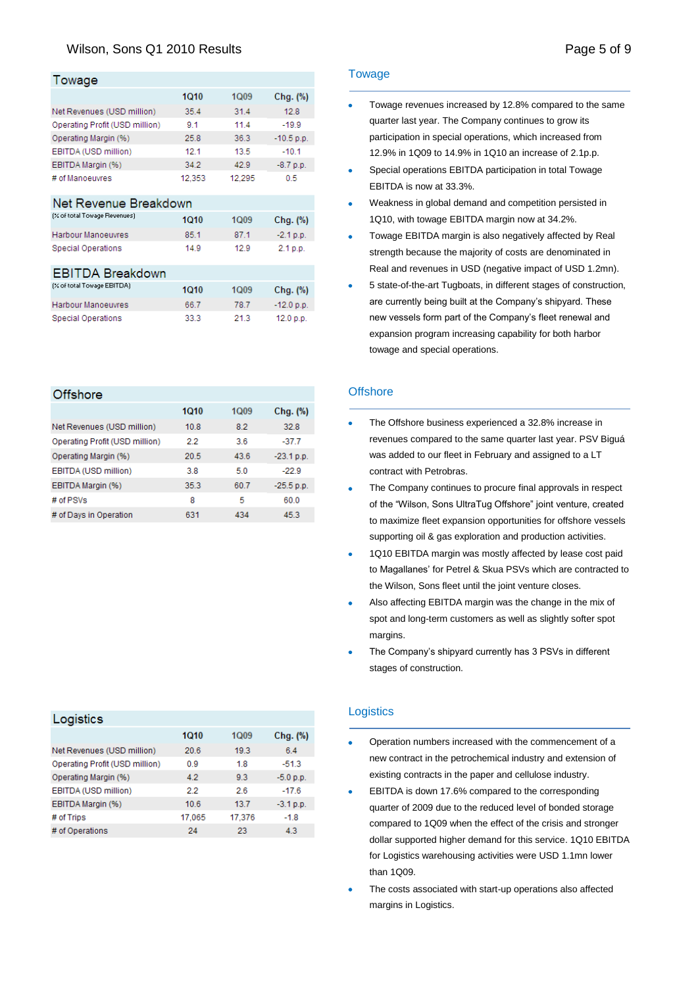# Wilson, Sons Q1 2010 Results **Page 1 and 2010** Page 5 of 9

## $T$ ourses

Harbour Manoeuvres **Special Operations** 

| , oway <del>c</del>            |        |        |              |
|--------------------------------|--------|--------|--------------|
|                                | 1010   | 1Q09   | Chg. (%)     |
| Net Revenues (USD million)     | 35.4   | 31.4   | 12.8         |
| Operating Profit (USD million) | 9.1    | 11.4   | $-19.9$      |
| Operating Margin (%)           | 25.8   | 36.3   | $-10.5$ p.p. |
| EBITDA (USD million)           | 12.1   | 13.5   | $-10.1$      |
| EBITDA Margin (%)              | 34.2   | 42.9   | $-8.7 p.p.$  |
| # of Manoeuvres                | 12,353 | 12.295 | 0.5          |
| Net Revenue Breakdown          |        |        |              |
| (% of total Towage Revenues)   | 1Q10   | 1Q09   | Chg. (%)     |
| Harbour Manoeuvres             | 85.1   | 87.1   | $-2.1 p.p.$  |
| Special Operations             | 14.9   | 12.9   | 2.1 p.p.     |
| <b>EBITDA Breakdown</b>        |        |        |              |
| (% of total Towage EBITDA)     | 1010   | 1Q09   | Chg. (%)     |

66.7

33.3

78.7

21.3

 $-12.0$  p.p.

12.0 p.p.

| Offshore                       |      |             |              |
|--------------------------------|------|-------------|--------------|
|                                | 1010 | <b>1Q09</b> | Chg. (%)     |
| Net Revenues (USD million)     | 10.8 | 82          | 32.8         |
| Operating Profit (USD million) | 2.2  | 3.6         | $-37.7$      |
| Operating Margin (%)           | 20.5 | 43.6        | $-23.1 p.p.$ |
| EBITDA (USD million)           | 3.8  | 5.0         | $-22.9$      |
| EBITDA Margin (%)              | 35.3 | 60.7        | $-25.5$ p.p. |
| # of PSVs                      | 8    | 5           | 60.0         |
| # of Days in Operation         | 631  | 434         | 45.3         |

| Logistics                      |        |             |             |
|--------------------------------|--------|-------------|-------------|
|                                | 1010   | <b>1Q09</b> | Chg. (%)    |
| Net Revenues (USD million)     | 20.6   | 19.3        | 6.4         |
| Operating Profit (USD million) | 0.9    | 1.8         | $-51.3$     |
| Operating Margin (%)           | 42     | 93          | $-5.0 p.p.$ |
| EBITDA (USD million)           | 22     | 2.6         | $-17.6$     |
| EBITDA Margin (%)              | 106    | 13.7        | $-3.1 p.p.$ |
| # of Trips                     | 17.065 | 17,376      | $-1.8$      |
| # of Operations                | 24     | 23          | 43          |
|                                |        |             |             |

#### **Towage**

- Towage revenues increased by 12.8% compared to the same quarter last year. The Company continues to grow its participation in special operations, which increased from 12.9% in 1Q09 to 14.9% in 1Q10 an increase of 2.1p.p.
- Special operations EBITDA participation in total Towage EBITDA is now at 33.3%.
- Weakness in global demand and competition persisted in 1Q10, with towage EBITDA margin now at 34.2%.
- Towage EBITDA margin is also negatively affected by Real strength because the majority of costs are denominated in Real and revenues in USD (negative impact of USD 1.2mn).
- 5 state-of-the-art Tugboats, in different stages of construction, are currently being built at the Company's shipyard. These new vessels form part of the Company's fleet renewal and expansion program increasing capability for both harbor towage and special operations.

#### **Offshore**

- The Offshore business experienced a 32.8% increase in revenues compared to the same quarter last year. PSV Biguá was added to our fleet in February and assigned to a LT contract with Petrobras.
- The Company continues to procure final approvals in respect of the "Wilson, Sons UltraTug Offshore" joint venture, created to maximize fleet expansion opportunities for offshore vessels supporting oil & gas exploration and production activities.
- 1Q10 EBITDA margin was mostly affected by lease cost paid  $\bullet$ to Magallanes" for Petrel & Skua PSVs which are contracted to the Wilson, Sons fleet until the joint venture closes.
- Also affecting EBITDA margin was the change in the mix of spot and long-term customers as well as slightly softer spot margins.
- $\bullet$ The Company's shipyard currently has 3 PSVs in different stages of construction.

#### **Logistics**

- Ä Operation numbers increased with the commencement of a new contract in the petrochemical industry and extension of existing contracts in the paper and cellulose industry.
- EBITDA is down 17.6% compared to the corresponding  $\bullet$ quarter of 2009 due to the reduced level of bonded storage compared to 1Q09 when the effect of the crisis and stronger dollar supported higher demand for this service. 1Q10 EBITDA for Logistics warehousing activities were USD 1.1mn lower than 1Q09.
- $\bullet$ The costs associated with start-up operations also affected margins in Logistics.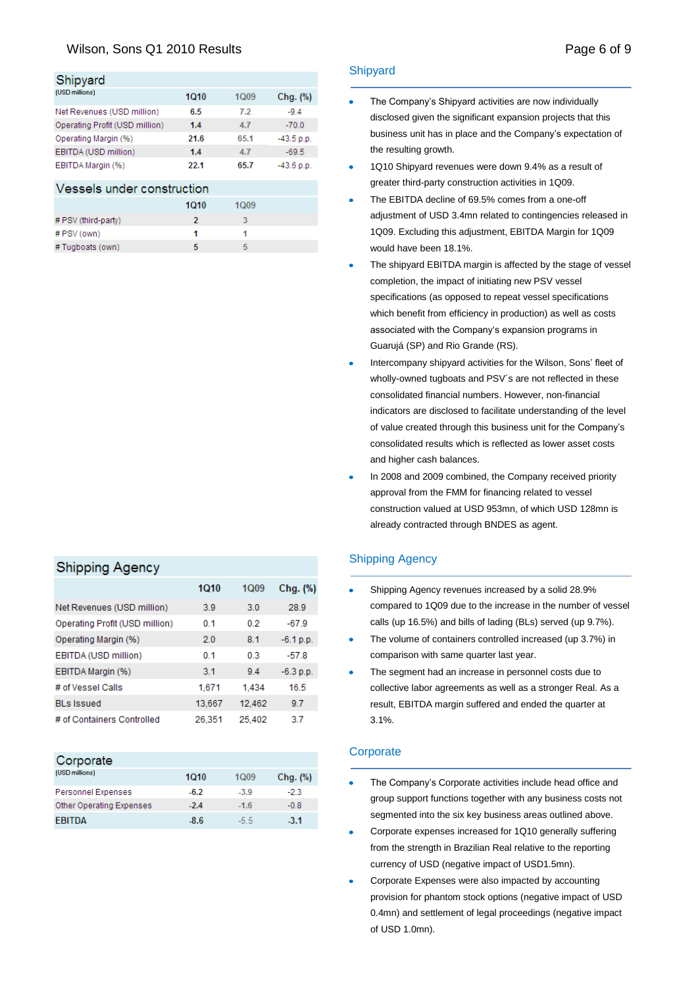# Wilson, Sons Q1 2010 Results **Page 6 of 9** and 2010 Results **Page 6 of 9** and 2010 **Page 6 of 9**

## Shipyard

| (USD millions)                                                                                                                                                                                                                    | 1010 | <b>1Q09</b> | Chg. (%)     |
|-----------------------------------------------------------------------------------------------------------------------------------------------------------------------------------------------------------------------------------|------|-------------|--------------|
| Net Revenues (USD million)                                                                                                                                                                                                        | 6.5  | 7.2         | $-9.4$       |
| Operating Profit (USD million)                                                                                                                                                                                                    | 1.4  | 4.7         | $-70.0$      |
| Operating Margin (%)                                                                                                                                                                                                              | 21.6 | 65.1        | $-43.5 p.p.$ |
| EBITDA (USD million)                                                                                                                                                                                                              | 1.4  | 4.7         | $-69.5$      |
| EBITDA Margin (%)                                                                                                                                                                                                                 | 22.1 | 65.7        | $-43.6$ p.p. |
| $\mathbf{v}$ , and the contract of the contract of the contract of the contract of the contract of the contract of the contract of the contract of the contract of the contract of the contract of the contract of the contract o |      |             |              |

### Vessels under construction

|                     | 1010 | <b>1Q09</b> |  |
|---------------------|------|-------------|--|
| # PSV (third-party) |      |             |  |
| # PSV (own)         |      |             |  |
| # Tugboats (own)    |      | 5           |  |

# **Shipping Agency**

|                                | 1010           | <b>1Q09</b> | Chg. (%)    |
|--------------------------------|----------------|-------------|-------------|
| Net Revenues (USD million)     | 3.9            | 3.0         | 28.9        |
| Operating Profit (USD million) | 0.1            | 0.2         | $-67.9$     |
| Operating Margin (%)           | 2.0            | 8.1         | $-6.1 p.p.$ |
| EBITDA (USD million)           | 0.1            | 0.3         | $-57.8$     |
| EBITDA Margin (%)              | 3 <sub>1</sub> | 94          | $-6.3$ p.p. |
| # of Vessel Calls              | 1,671          | 1.434       | 16.5        |
| <b>BLs Issued</b>              | 13,667         | 12,462      | 9.7         |
| # of Containers Controlled     | 26.351         | 25,402      | 3.7         |

| Corporate                |        |        |               |
|--------------------------|--------|--------|---------------|
| (USD millions)           | 1010   | 1009   | $Chg.$ $(\%)$ |
| Personnel Expenses       | $-6.2$ | $-3.9$ | -23           |
| Other Operating Expenses | $-2.4$ | $-1.6$ | $-0.8$        |
| <b>FRITDA</b>            | $-8.6$ | -5.5   | $-3.1$        |

#### **Shipyard**

- The Company"s Shipyard activities are now individually disclosed given the significant expansion projects that this business unit has in place and the Company's expectation of the resulting growth.
- 1Q10 Shipyard revenues were down 9.4% as a result of greater third-party construction activities in 1Q09.
- The EBITDA decline of 69.5% comes from a one-off adjustment of USD 3.4mn related to contingencies released in 1Q09. Excluding this adjustment, EBITDA Margin for 1Q09 would have been 18.1%.
- The shipyard EBITDA margin is affected by the stage of vessel completion, the impact of initiating new PSV vessel specifications (as opposed to repeat vessel specifications which benefit from efficiency in production) as well as costs associated with the Company's expansion programs in Guarujá (SP) and Rio Grande (RS).
- Intercompany shipyard activities for the Wilson, Sons" fleet of  $\bullet$ wholly-owned tugboats and PSV´s are not reflected in these consolidated financial numbers. However, non-financial indicators are disclosed to facilitate understanding of the level of value created through this business unit for the Company"s consolidated results which is reflected as lower asset costs and higher cash balances.
- In 2008 and 2009 combined, the Company received priority approval from the FMM for financing related to vessel construction valued at USD 953mn, of which USD 128mn is already contracted through BNDES as agent.

### Shipping Agency

- Shipping Agency revenues increased by a solid 28.9% compared to 1Q09 due to the increase in the number of vessel calls (up 16.5%) and bills of lading (BLs) served (up 9.7%).
- The volume of containers controlled increased (up 3.7%) in  $\ddot{\phantom{a}}$ comparison with same quarter last year.
- The segment had an increase in personnel costs due to  $\bullet$ collective labor agreements as well as a stronger Real. As a result, EBITDA margin suffered and ended the quarter at 3.1%.

#### **Corporate**

- The Company"s Corporate activities include head office and group support functions together with any business costs not segmented into the six key business areas outlined above.
- $\bullet$ Corporate expenses increased for 1Q10 generally suffering from the strength in Brazilian Real relative to the reporting currency of USD (negative impact of USD1.5mn).
- Corporate Expenses were also impacted by accounting provision for phantom stock options (negative impact of USD 0.4mn) and settlement of legal proceedings (negative impact of USD 1.0mn).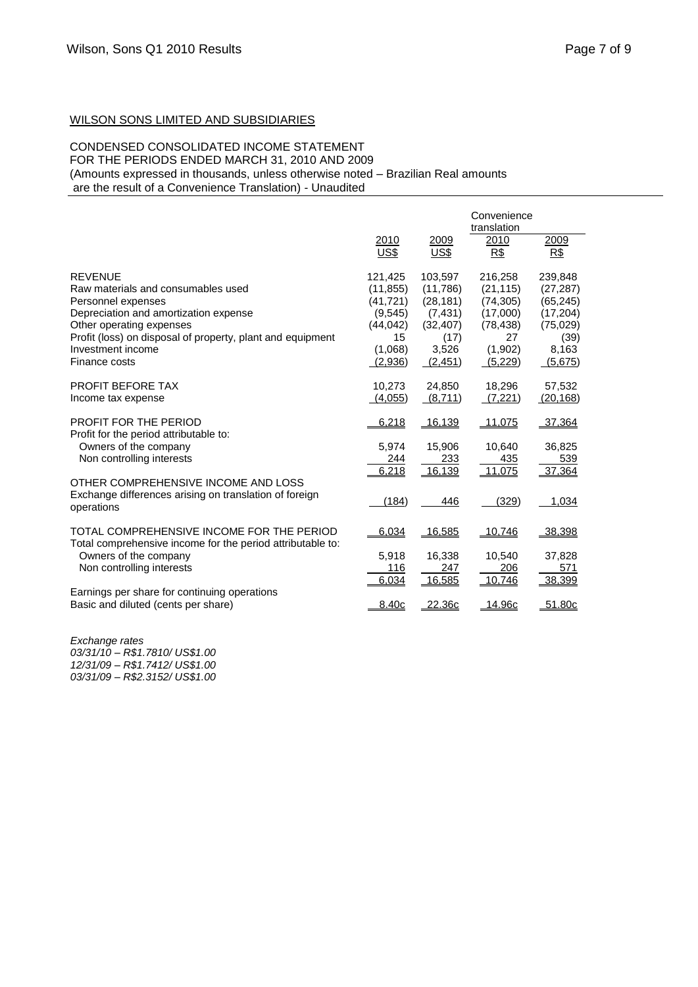### WILSON SONS LIMITED AND SUBSIDIARIES

### CONDENSED CONSOLIDATED INCOME STATEMENT

FOR THE PERIODS ENDED MARCH 31, 2010 AND 2009

(Amounts expressed in thousands, unless otherwise noted – Brazilian Real amounts

are the result of a Convenience Translation) - Unaudited

|                                                                                                                                                                                                                                                     |                                                                                       |                                                                                       | Convenience<br>translation                                                             |                                                                                         |
|-----------------------------------------------------------------------------------------------------------------------------------------------------------------------------------------------------------------------------------------------------|---------------------------------------------------------------------------------------|---------------------------------------------------------------------------------------|----------------------------------------------------------------------------------------|-----------------------------------------------------------------------------------------|
|                                                                                                                                                                                                                                                     | 2010<br>US\$                                                                          | 2009<br>US\$                                                                          | 2010<br>R\$                                                                            | 2009<br>R\$                                                                             |
| <b>REVENUE</b><br>Raw materials and consumables used<br>Personnel expenses<br>Depreciation and amortization expense<br>Other operating expenses<br>Profit (loss) on disposal of property, plant and equipment<br>Investment income<br>Finance costs | 121,425<br>(11, 855)<br>(41, 721)<br>(9,545)<br>(44, 042)<br>15<br>(1,068)<br>(2,936) | 103.597<br>(11,786)<br>(28, 181)<br>(7, 431)<br>(32, 407)<br>(17)<br>3,526<br>(2,451) | 216,258<br>(21, 115)<br>(74, 305)<br>(17,000)<br>(78, 438)<br>27<br>(1,902)<br>(5,229) | 239,848<br>(27, 287)<br>(65, 245)<br>(17, 204)<br>(75, 029)<br>(39)<br>8,163<br>(5,675) |
| PROFIT BEFORE TAX<br>Income tax expense                                                                                                                                                                                                             | 10,273<br>(4,055)                                                                     | 24,850<br>(8,711)                                                                     | 18,296<br>(7,221)                                                                      | 57,532<br>(20, 168)                                                                     |
| PROFIT FOR THE PERIOD<br>Profit for the period attributable to:<br>Owners of the company                                                                                                                                                            | 6,218<br>5,974                                                                        | 16,139<br>15,906                                                                      | <u>11,075</u><br>10,640                                                                | 37,364<br>36,825                                                                        |
| Non controlling interests<br>OTHER COMPREHENSIVE INCOME AND LOSS                                                                                                                                                                                    | 244<br>6,218                                                                          | 233<br>16,139                                                                         | 435<br>11.075                                                                          | 539<br>37,364                                                                           |
| Exchange differences arising on translation of foreign<br>operations                                                                                                                                                                                | (184)                                                                                 | 446                                                                                   | (329)                                                                                  | 1,034                                                                                   |
| TOTAL COMPREHENSIVE INCOME FOR THE PERIOD<br>Total comprehensive income for the period attributable to:                                                                                                                                             | 6,034                                                                                 | 16,585                                                                                | 10,746                                                                                 | 38,398                                                                                  |
| Owners of the company<br>Non controlling interests                                                                                                                                                                                                  | 5,918<br>116<br>6,034                                                                 | 16,338<br>247<br>16,585                                                               | 10,540<br>206<br>10,746                                                                | 37,828<br>571<br>38,399                                                                 |
| Earnings per share for continuing operations<br>Basic and diluted (cents per share)                                                                                                                                                                 | 8.40c                                                                                 | 22.36c                                                                                | 14.96c                                                                                 | $-51.80c$                                                                               |

*Exchange rates 03/31/10 – R\$1.7810/ US\$1.00 12/31/09 – R\$1.7412/ US\$1.00 03/31/09 – R\$2.3152/ US\$1.00*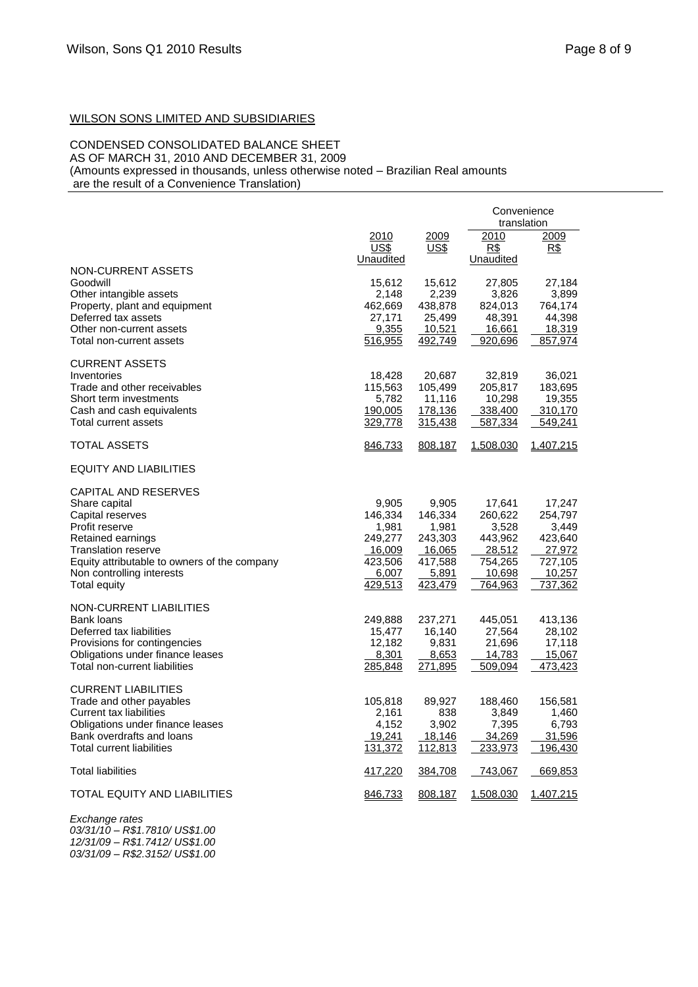# WILSON SONS LIMITED AND SUBSIDIARIES

# CONDENSED CONSOLIDATED BALANCE SHEET

AS OF MARCH 31, 2010 AND DECEMBER 31, 2009 (Amounts expressed in thousands, unless otherwise noted – Brazilian Real amounts

are the result of a Convenience Translation)

|                                                                                                                                                                                                                                    |                                                                               |                                                                               | Convenience<br>translation                                                             |                                                                                 |
|------------------------------------------------------------------------------------------------------------------------------------------------------------------------------------------------------------------------------------|-------------------------------------------------------------------------------|-------------------------------------------------------------------------------|----------------------------------------------------------------------------------------|---------------------------------------------------------------------------------|
|                                                                                                                                                                                                                                    | <u> 2010</u><br>US\$<br>Unaudited                                             | 2009<br>US\$                                                                  | 2010<br>R\$<br>Unaudited                                                               | 2009<br>R\$                                                                     |
| NON-CURRENT ASSETS<br>Goodwill<br>Other intangible assets<br>Property, plant and equipment<br>Deferred tax assets<br>Other non-current assets<br>Total non-current assets                                                          | 15,612<br>2,148<br>462,669<br>27,171<br>9,355<br>516,955                      | 15,612<br>2,239<br>438,878<br>25,499<br>10,521<br>492,749                     | 27,805<br>3,826<br>824,013<br>48,391<br>16,661<br>920,696                              | 27,184<br>3,899<br>764,174<br>44,398<br>18,319<br>857,974                       |
| <b>CURRENT ASSETS</b><br>Inventories<br>Trade and other receivables<br>Short term investments<br>Cash and cash equivalents<br>Total current assets                                                                                 | 18,428<br>115,563<br>5,782<br>190,005<br>329,778                              | 20,687<br>105,499<br>11,116<br>178,136<br>315,438                             | 32,819<br>205,817<br>10,298<br>338,400<br>587,334                                      | 36,021<br>183,695<br>19,355<br>310,170<br>549,241                               |
| <b>TOTAL ASSETS</b>                                                                                                                                                                                                                | 846,733                                                                       | 808,187                                                                       | 1,508,030                                                                              | 1,407,215                                                                       |
| EQUITY AND LIABILITIES                                                                                                                                                                                                             |                                                                               |                                                                               |                                                                                        |                                                                                 |
| <b>CAPITAL AND RESERVES</b><br>Share capital<br>Capital reserves<br>Profit reserve<br>Retained earnings<br><b>Translation reserve</b><br>Equity attributable to owners of the company<br>Non controlling interests<br>Total equity | 9,905<br>146,334<br>1,981<br>249,277<br>16,009<br>423,506<br>6,007<br>429,513 | 9,905<br>146,334<br>1,981<br>243,303<br>16,065<br>417,588<br>5,891<br>423,479 | 17,641<br>260,622<br>3,528<br>443,962<br><u>28,512</u><br>754,265<br>10,698<br>764,963 | 17,247<br>254,797<br>3,449<br>423,640<br>27,972<br>727,105<br>10,257<br>737,362 |
| NON-CURRENT LIABILITIES<br>Bank loans<br>Deferred tax liabilities<br>Provisions for contingencies<br>Obligations under finance leases<br>Total non-current liabilities                                                             | 249,888<br>15,477<br>12,182<br>8,301<br>285,848                               | 237,271<br>16,140<br>9,831<br>8,653<br>271,895                                | 445,051<br>27,564<br>21,696<br>14,783<br>509,094                                       | 413,136<br>28,102<br>17,118<br>15,067<br>473,423                                |
| <b>CURRENT LIABILITIES</b><br>Trade and other payables<br><b>Current tax liabilities</b><br>Obligations under finance leases<br>Bank overdrafts and loans<br>Total current liabilities                                             | 105,818<br>2,161<br>4,152<br>19,241<br>131,372                                | 89,927<br>838<br>3,902<br>18,146<br>112,813                                   | 188,460<br>3,849<br>7,395<br>34,269<br>233,973                                         | 156,581<br>1,460<br>6,793<br>31,596<br>196,430                                  |
| <b>Total liabilities</b>                                                                                                                                                                                                           | 417,220                                                                       | 384,708                                                                       | 743,067                                                                                | 669,853                                                                         |
| TOTAL EQUITY AND LIABILITIES                                                                                                                                                                                                       | 846,733                                                                       | 808,187                                                                       | 1,508,030                                                                              | 1,407,215                                                                       |

*Exchange rates 03/31/10 – R\$1.7810/ US\$1.00 12/31/09 – R\$1.7412/ US\$1.00 03/31/09 – R\$2.3152/ US\$1.00*